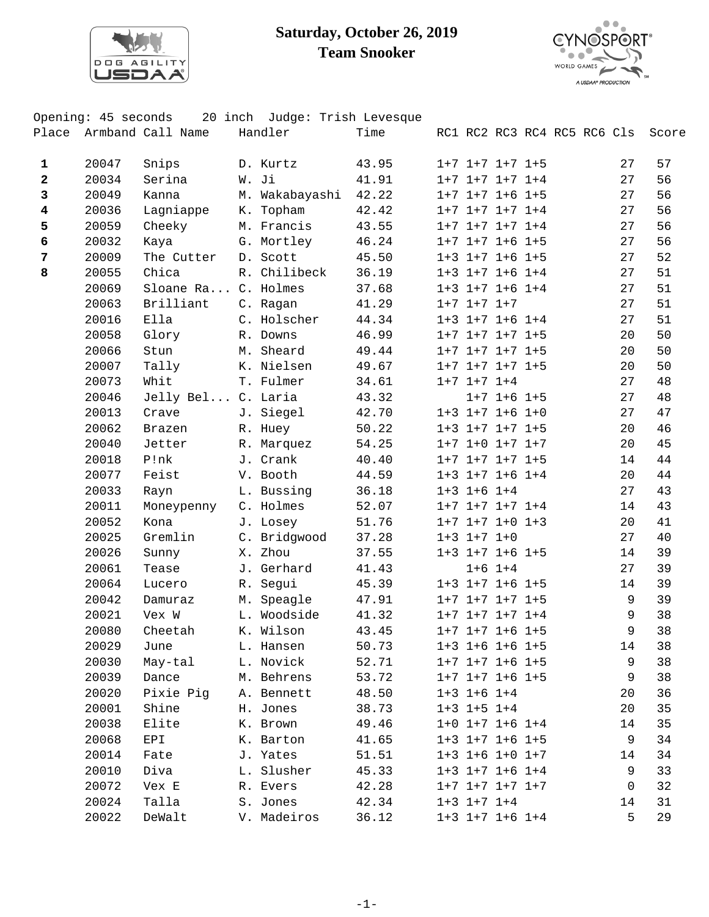

## **Saturday, October 26, 2019 Team Snooker**



|                         | Opening: 45 seconds |                         | 20 inch Judge: Trish Levesque |       |                         |                   |                             |    |       |
|-------------------------|---------------------|-------------------------|-------------------------------|-------|-------------------------|-------------------|-----------------------------|----|-------|
|                         |                     | Place Armband Call Name | Handler                       | Time  |                         |                   | RC1 RC2 RC3 RC4 RC5 RC6 Cls |    | Score |
|                         |                     |                         |                               |       |                         |                   |                             |    |       |
| 1                       | 20047               | Snips                   | D. Kurtz                      | 43.95 | $1+7$ $1+7$ $1+7$ $1+5$ |                   |                             | 27 | 57    |
| $\mathbf 2$             | 20034               | Serina                  | W. Ji                         | 41.91 | $1+7$ $1+7$ $1+7$ $1+4$ |                   |                             | 27 | 56    |
| 3                       | 20049               | Kanna                   | M. Wakabayashi                | 42.22 | $1+7$ $1+7$ $1+6$ $1+5$ |                   |                             | 27 | 56    |
| $\overline{\mathbf{4}}$ | 20036               | Lagniappe               | K. Topham                     | 42.42 | $1+7$ $1+7$ $1+7$ $1+4$ |                   |                             | 27 | 56    |
| 5                       | 20059               | Cheeky                  | M. Francis                    | 43.55 | $1+7$ $1+7$ $1+7$ $1+4$ |                   |                             | 27 | 56    |
| $\boldsymbol{6}$        | 20032               | Kaya                    | G. Mortley                    | 46.24 | $1+7$ $1+7$ $1+6$ $1+5$ |                   |                             | 27 | 56    |
| 7                       | 20009               | The Cutter              | D. Scott                      | 45.50 | $1+3$ $1+7$ $1+6$ $1+5$ |                   |                             | 27 | 52    |
| 8                       | 20055               | Chica                   | R. Chilibeck                  | 36.19 | $1+3$ $1+7$ $1+6$ $1+4$ |                   |                             | 27 | 51    |
|                         | 20069               | Sloane Ra C. Holmes     |                               | 37.68 | $1+3$ $1+7$ $1+6$ $1+4$ |                   |                             | 27 | 51    |
|                         | 20063               | Brilliant               | C. Ragan                      | 41.29 | $1+7$ $1+7$ $1+7$       |                   |                             | 27 | 51    |
|                         | 20016               | Ella                    | C. Holscher                   | 44.34 | $1+3$ $1+7$ $1+6$ $1+4$ |                   |                             | 27 | 51    |
|                         | 20058               | Glory                   | R. Downs                      | 46.99 | $1+7$ $1+7$ $1+7$ $1+5$ |                   |                             | 20 | 50    |
|                         | 20066               | Stun                    | M. Sheard                     | 49.44 | $1+7$ $1+7$ $1+7$ $1+5$ |                   |                             | 20 | 50    |
|                         | 20007               | Tally                   | K. Nielsen                    | 49.67 | $1+7$ $1+7$ $1+7$ $1+5$ |                   |                             | 20 | 50    |
|                         | 20073               | Whit                    | T. Fulmer                     | 34.61 | $1+7$ $1+7$ $1+4$       |                   |                             | 27 | 48    |
|                         | 20046               | Jelly Bel C. Laria      |                               | 43.32 |                         | $1+7$ $1+6$ $1+5$ |                             | 27 | 48    |
|                         | 20013               | Crave                   | J. Siegel                     | 42.70 | $1+3$ $1+7$ $1+6$ $1+0$ |                   |                             | 27 | 47    |
|                         | 20062               | Brazen                  | R. Huey                       | 50.22 | $1+3$ $1+7$ $1+7$ $1+5$ |                   |                             | 20 | 46    |
|                         | 20040               | Jetter                  | R. Marquez                    | 54.25 | $1+7$ $1+0$ $1+7$ $1+7$ |                   |                             | 20 | 45    |
|                         | 20018               | P!nk                    | J. Crank                      | 40.40 | $1+7$ $1+7$ $1+7$ $1+5$ |                   |                             | 14 | 44    |
|                         | 20077               | Feist                   | V. Booth                      | 44.59 | $1+3$ $1+7$ $1+6$ $1+4$ |                   |                             | 20 | 44    |
|                         | 20033               | Rayn                    | L. Bussing                    | 36.18 | $1+3$ $1+6$ $1+4$       |                   |                             | 27 | 43    |
|                         | 20011               | Moneypenny              | C. Holmes                     | 52.07 | $1+7$ $1+7$ $1+7$ $1+4$ |                   |                             | 14 | 43    |
|                         | 20052               | Kona                    | J. Losey                      | 51.76 | $1+7$ $1+7$ $1+0$ $1+3$ |                   |                             | 20 | 41    |
|                         | 20025               | Gremlin                 | C. Bridgwood                  | 37.28 | $1+3$ $1+7$ $1+0$       |                   |                             | 27 | 40    |
|                         | 20026               | Sunny                   | X. Zhou                       | 37.55 | $1+3$ $1+7$ $1+6$ $1+5$ |                   |                             | 14 | 39    |
|                         | 20061               | Tease                   | J. Gerhard                    | 41.43 |                         | $1+6$ $1+4$       |                             | 27 | 39    |
|                         | 20064               | Lucero                  | R. Segui                      | 45.39 | $1+3$ $1+7$ $1+6$ $1+5$ |                   |                             | 14 | 39    |
|                         | 20042               | Damuraz                 | M. Speagle                    | 47.91 | $1+7$ $1+7$ $1+7$ $1+5$ |                   |                             | 9  | 39    |
|                         | 20021               | Vex W                   | L. Woodside                   | 41.32 | $1+7$ $1+7$ $1+7$ $1+4$ |                   |                             | 9  | 38    |
|                         | 20080               | Cheetah                 | K. Wilson                     | 43.45 | $1+7$ $1+7$ $1+6$ $1+5$ |                   |                             | 9  | 38    |
|                         | 20029               | June                    | L. Hansen                     | 50.73 | $1+3$ $1+6$ $1+6$ $1+5$ |                   |                             | 14 | 38    |
|                         | 20030               | May-tal                 | L. Novick                     | 52.71 | $1+7$ $1+7$ $1+6$ $1+5$ |                   |                             | 9  | 38    |
|                         | 20039               | Dance                   | M. Behrens                    | 53.72 | $1+7$ $1+7$ $1+6$ $1+5$ |                   |                             | 9  | 38    |
|                         | 20020               | Pixie Pig               | A. Bennett                    | 48.50 | $1+3$ $1+6$ $1+4$       |                   |                             | 20 | 36    |
|                         | 20001               | Shine                   | H. Jones                      | 38.73 | $1+3$ $1+5$ $1+4$       |                   |                             | 20 | 35    |
|                         | 20038               | Elite                   | K. Brown                      | 49.46 | $1+0$ $1+7$ $1+6$ $1+4$ |                   |                             | 14 | 35    |
|                         | 20068               | EPI                     | K. Barton                     | 41.65 | $1+3$ $1+7$ $1+6$ $1+5$ |                   |                             | 9  | 34    |
|                         | 20014               | Fate                    | J. Yates                      | 51.51 | $1+3$ $1+6$ $1+0$ $1+7$ |                   |                             | 14 | 34    |
|                         | 20010               | Diva                    | L. Slusher                    | 45.33 | $1+3$ $1+7$ $1+6$ $1+4$ |                   |                             | 9  | 33    |
|                         | 20072               | Vex E                   | R. Evers                      | 42.28 | $1+7$ $1+7$ $1+7$ $1+7$ |                   |                             | 0  | 32    |
|                         | 20024               | Talla                   | S. Jones                      | 42.34 | $1+3$ $1+7$ $1+4$       |                   |                             | 14 | 31    |
|                         | 20022               | DeWalt                  | V. Madeiros                   | 36.12 | $1+3$ $1+7$ $1+6$ $1+4$ |                   |                             | 5  | 29    |
|                         |                     |                         |                               |       |                         |                   |                             |    |       |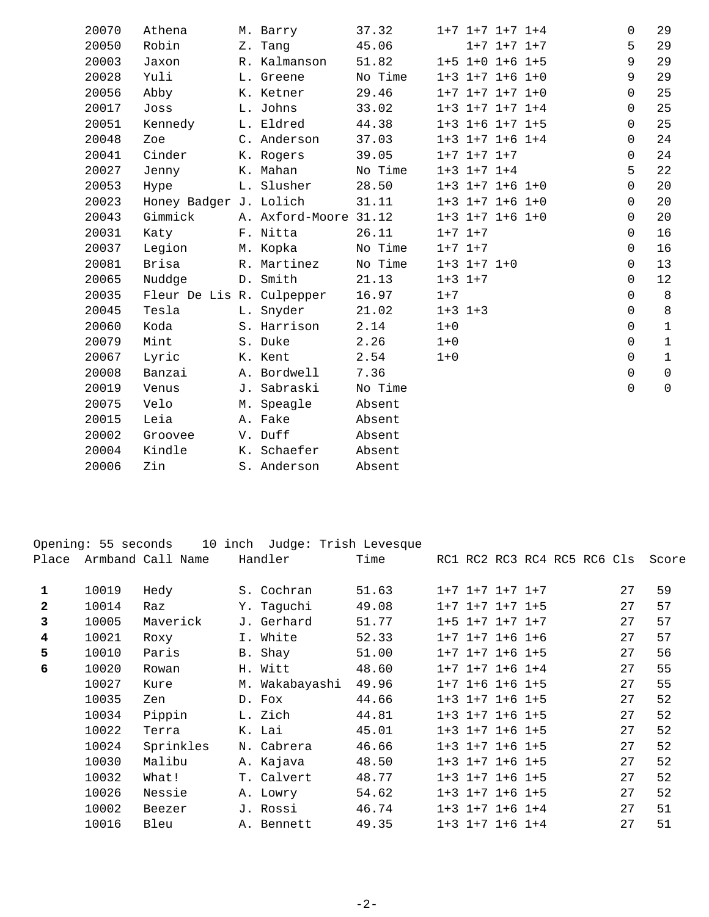| 20070 | Athena                    | M. Barry              | 37.32   |             |                   | $1+7$ $1+7$ $1+7$ $1+4$ | $\mathbf 0$ | 29           |
|-------|---------------------------|-----------------------|---------|-------------|-------------------|-------------------------|-------------|--------------|
| 20050 | Robin                     | Z. Tang               | 45.06   |             |                   | $1+7$ $1+7$ $1+7$       | 5           | 29           |
| 20003 | Jaxon                     | R. Kalmanson          | 51.82   |             |                   | $1+5$ $1+0$ $1+6$ $1+5$ | 9           | 29           |
| 20028 | Yuli                      | L. Greene             | No Time |             |                   | $1+3$ $1+7$ $1+6$ $1+0$ | 9           | 29           |
| 20056 | Abby                      | K. Ketner             | 29.46   |             |                   | $1+7$ $1+7$ $1+7$ $1+0$ | $\Omega$    | 25           |
| 20017 | Joss                      | L. Johns              | 33.02   |             |                   | $1+3$ $1+7$ $1+7$ $1+4$ | $\mathbf 0$ | 25           |
| 20051 | Kennedy                   | L. Eldred             | 44.38   |             |                   | $1+3$ $1+6$ $1+7$ $1+5$ | $\Omega$    | 25           |
| 20048 | Zoe                       | C. Anderson           | 37.03   |             |                   | $1+3$ $1+7$ $1+6$ $1+4$ | 0           | 24           |
| 20041 | Cinder                    | K. Rogers             | 39.05   |             | $1+7$ $1+7$ $1+7$ |                         | 0           | 24           |
| 20027 | Jenny                     | K. Mahan              | No Time |             | $1+3$ $1+7$ $1+4$ |                         | 5           | 22           |
| 20053 | Hype                      | L. Slusher            | 28.50   |             |                   | $1+3$ $1+7$ $1+6$ $1+0$ | $\mathbf 0$ | 20           |
| 20023 | Honey Badger J. Lolich    |                       | 31.11   |             |                   | $1+3$ $1+7$ $1+6$ $1+0$ | $\Omega$    | 20           |
| 20043 | Gimmick                   | A. Axford-Moore 31.12 |         |             |                   | $1+3$ $1+7$ $1+6$ $1+0$ | $\Omega$    | 20           |
| 20031 | Katy                      | F. Nitta              | 26.11   | $1+7$ $1+7$ |                   |                         | $\Omega$    | 16           |
| 20037 | Legion                    | M. Kopka              | No Time | $1+7$ $1+7$ |                   |                         | $\Omega$    | 16           |
| 20081 | Brisa                     | R. Martinez           | No Time |             | $1+3$ $1+7$ $1+0$ |                         | 0           | 13           |
| 20065 | Nuddge                    | D. Smith              | 21.13   | $1+3$ $1+7$ |                   |                         | $\Omega$    | 12           |
| 20035 | Fleur De Lis R. Culpepper |                       | 16.97   | $1 + 7$     |                   |                         | $\mathbf 0$ | 8            |
| 20045 | Tesla                     | L. Snyder             | 21.02   | $1+3$ $1+3$ |                   |                         | $\mathbf 0$ | $\,8\,$      |
| 20060 | Koda                      | S. Harrison           | 2.14    | $1 + 0$     |                   |                         | $\mathbf 0$ | $\mathbf{1}$ |
| 20079 | Mint                      | S. Duke               | 2.26    | $1 + 0$     |                   |                         | $\Omega$    | $\mathbf{1}$ |
| 20067 | Lyric                     | K. Kent               | 2.54    | $1 + 0$     |                   |                         | $\Omega$    | $\mathbf{1}$ |
| 20008 | Banzai                    | A. Bordwell           | 7.36    |             |                   |                         | $\mathsf 0$ | $\mathsf{O}$ |
| 20019 | Venus                     | J. Sabraski           | No Time |             |                   |                         | $\Omega$    | $\mathsf{O}$ |
| 20075 | Velo                      | M. Speagle            | Absent  |             |                   |                         |             |              |
| 20015 | Leia                      | A. Fake               | Absent  |             |                   |                         |             |              |
| 20002 | Groovee                   | V. Duff               | Absent  |             |                   |                         |             |              |
| 20004 | Kindle                    | K. Schaefer           | Absent  |             |                   |                         |             |              |
| 20006 | Zin                       | S. Anderson           | Absent  |             |                   |                         |             |              |
|       |                           |                       |         |             |                   |                         |             |              |

|              | Opening: 55 seconds | 10                | inch | Judge: Trish Levesque |       |                         |  |                             |    |       |
|--------------|---------------------|-------------------|------|-----------------------|-------|-------------------------|--|-----------------------------|----|-------|
| Place        |                     | Armband Call Name |      | Handler               | Time  |                         |  | RC1 RC2 RC3 RC4 RC5 RC6 Cls |    | Score |
| 1            | 10019               | Hedy              |      | S. Cochran            | 51.63 | $1+7$ $1+7$ $1+7$ $1+7$ |  |                             | 27 | 59    |
| $\mathbf{2}$ | 10014               | Raz               |      | Y. Taguchi            | 49.08 | $1+7$ $1+7$ $1+7$ $1+5$ |  |                             | 27 | 57    |
| 3            | 10005               | Maverick          |      | J. Gerhard            | 51.77 | $1+5$ $1+7$ $1+7$ $1+7$ |  |                             | 27 | 57    |
| 4            | 10021               | Roxy              |      | I. White              | 52.33 | $1+7$ $1+7$ $1+6$ $1+6$ |  |                             | 27 | 57    |
| 5            | 10010               | Paris             |      | B. Shay               | 51.00 | $1+7$ $1+7$ $1+6$ $1+5$ |  |                             | 27 | 56    |
| 6            | 10020               | Rowan             |      | H. Witt               | 48.60 | $1+7$ $1+7$ $1+6$ $1+4$ |  |                             | 27 | 55    |
|              | 10027               | Kure              | М.   | Wakabayashi           | 49.96 | $1+7$ $1+6$ $1+6$ $1+5$ |  |                             | 27 | 55    |
|              | 10035               | Zen               |      | D. Fox                | 44.66 | $1+3$ $1+7$ $1+6$ $1+5$ |  |                             | 27 | 52    |
|              | 10034               | Pippin            |      | L. Zich               | 44.81 | $1+3$ $1+7$ $1+6$ $1+5$ |  |                             | 27 | 52    |
|              | 10022               | Terra             |      | K. Lai                | 45.01 | $1+3$ $1+7$ $1+6$ $1+5$ |  |                             | 27 | 52    |
|              | 10024               | Sprinkles         |      | N. Cabrera            | 46.66 | $1+3$ $1+7$ $1+6$ $1+5$ |  |                             | 27 | 52    |
|              | 10030               | Malibu            |      | A. Kajava             | 48.50 | $1+3$ $1+7$ $1+6$ $1+5$ |  |                             | 27 | 52    |
|              | 10032               | What!             |      | T. Calvert            | 48.77 | $1+3$ $1+7$ $1+6$ $1+5$ |  |                             | 27 | 52    |
|              | 10026               | Nessie            |      | A. Lowry              | 54.62 | $1+3$ $1+7$ $1+6$ $1+5$ |  |                             | 27 | 52    |
|              | 10002               | Beezer            |      | J. Rossi              | 46.74 | $1+3$ $1+7$ $1+6$ $1+4$ |  |                             | 27 | 51    |
|              | 10016               | Bleu              |      | A. Bennett            | 49.35 | $1+3$ $1+7$ $1+6$ $1+4$ |  |                             | 27 | 51    |
|              |                     |                   |      |                       |       |                         |  |                             |    |       |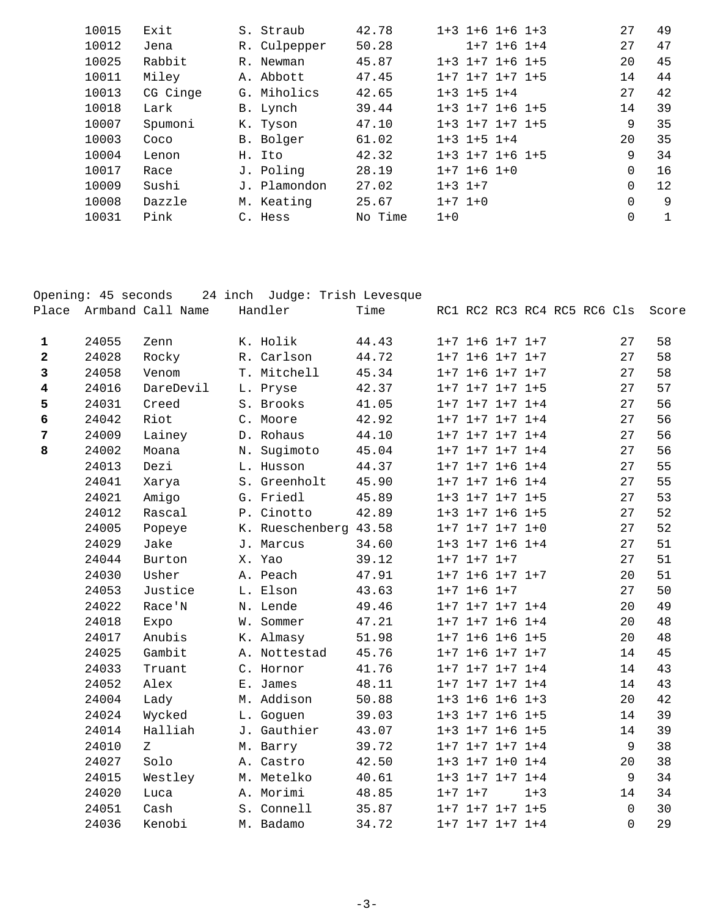| 10015 | Exit     | S. Straub    | 42.78   |             |                   | $1+3$ $1+6$ $1+6$ $1+3$ | 27          | 49 |
|-------|----------|--------------|---------|-------------|-------------------|-------------------------|-------------|----|
| 10012 | Jena     | R. Culpepper | 50.28   |             |                   | $1+7$ $1+6$ $1+4$       | 27          | 47 |
| 10025 | Rabbit   | R. Newman    | 45.87   |             |                   | $1+3$ $1+7$ $1+6$ $1+5$ | 20          | 45 |
| 10011 | Miley    | A. Abbott    | 47.45   |             |                   | $1+7$ $1+7$ $1+7$ $1+5$ | 14          | 44 |
| 10013 | CG Cinge | G. Miholics  | 42.65   |             | $1+3$ $1+5$ $1+4$ |                         | 27          | 42 |
| 10018 | Lark     | B. Lynch     | 39.44   |             |                   | $1+3$ $1+7$ $1+6$ $1+5$ | 14          | 39 |
| 10007 | Spumoni  | K. Tyson     | 47.10   |             |                   | $1+3$ $1+7$ $1+7$ $1+5$ | 9           | 35 |
| 10003 | Coco     | B. Bolger    | 61.02   |             | $1+3$ $1+5$ $1+4$ |                         | 20          | 35 |
| 10004 | Lenon    | H. Ito       | 42.32   |             |                   | $1+3$ $1+7$ $1+6$ $1+5$ | 9           | 34 |
| 10017 | Race     | J. Poling    | 28.19   |             | $1+7$ $1+6$ $1+0$ |                         | $\mathbf 0$ | 16 |
| 10009 | Sushi    | J. Plamondon | 27.02   | $1+3$ $1+7$ |                   |                         | $\mathbf 0$ | 12 |
| 10008 | Dazzle   | M. Keating   | 25.67   |             | $1+7$ $1+0$       |                         | $\Omega$    | 9  |
| 10031 | Pink     | C. Hess      | No Time | $1 + 0$     |                   |                         | 0           |    |
|       |          |              |         |             |                   |                         |             |    |

|                         | Opening: 45 seconds |                         | 24 inch Judge: Trish Levesque |       |                         |         |                             |             |       |
|-------------------------|---------------------|-------------------------|-------------------------------|-------|-------------------------|---------|-----------------------------|-------------|-------|
|                         |                     | Place Armband Call Name | Handler                       | Time  |                         |         | RC1 RC2 RC3 RC4 RC5 RC6 Cls |             | Score |
|                         |                     |                         |                               |       |                         |         |                             |             |       |
| $\mathbf{1}$            | 24055               | Zenn                    | K. Holik                      | 44.43 | $1+7$ $1+6$ $1+7$ $1+7$ |         |                             | 27          | 58    |
| $\overline{\mathbf{2}}$ | 24028               | Rocky                   | R. Carlson                    | 44.72 | $1+7$ $1+6$ $1+7$ $1+7$ |         |                             | 27          | 58    |
| $\mathbf{3}$            | 24058               | Venom                   | T. Mitchell                   | 45.34 | $1+7$ $1+6$ $1+7$ $1+7$ |         |                             | 27          | 58    |
| $\overline{\mathbf{4}}$ | 24016               | DareDevil               | L. Pryse                      | 42.37 | $1+7$ $1+7$ $1+7$ $1+5$ |         |                             | 27          | 57    |
| 5                       | 24031               | Creed                   | S. Brooks                     | 41.05 | $1+7$ $1+7$ $1+7$ $1+4$ |         |                             | 27          | 56    |
| 6                       | 24042               | Riot                    | C. Moore                      | 42.92 | $1+7$ $1+7$ $1+7$ $1+4$ |         |                             | 27          | 56    |
| $\overline{7}$          | 24009               | Lainey                  | D. Rohaus                     | 44.10 | $1+7$ $1+7$ $1+7$ $1+4$ |         |                             | 27          | 56    |
| 8                       | 24002               | Moana                   | N. Sugimoto                   | 45.04 | $1+7$ $1+7$ $1+7$ $1+4$ |         |                             | 27          | 56    |
|                         | 24013               | Dezi                    | L. Husson                     | 44.37 | $1+7$ $1+7$ $1+6$ $1+4$ |         |                             | 27          | 55    |
|                         | 24041               | Xarya                   | S. Greenholt                  | 45.90 | $1+7$ $1+7$ $1+6$ $1+4$ |         |                             | 27          | 55    |
|                         | 24021               | Amigo                   | G. Friedl                     | 45.89 | $1+3$ $1+7$ $1+7$ $1+5$ |         |                             | 27          | 53    |
|                         | 24012               | Rascal                  | P. Cinotto                    | 42.89 | $1+3$ $1+7$ $1+6$ $1+5$ |         |                             | 27          | 52    |
|                         | 24005               | Popeye                  | K. Rueschenberg 43.58         |       | $1+7$ $1+7$ $1+7$ $1+0$ |         |                             | 27          | 52    |
|                         | 24029               | Jake                    | J. Marcus                     | 34.60 | $1+3$ $1+7$ $1+6$ $1+4$ |         |                             | 27          | 51    |
|                         | 24044               | Burton                  | X. Yao                        | 39.12 | $1+7$ $1+7$ $1+7$       |         |                             | 27          | 51    |
|                         | 24030               | Usher                   | A. Peach                      | 47.91 | $1+7$ $1+6$ $1+7$ $1+7$ |         |                             | 20          | 51    |
|                         | 24053               | Justice                 | L. Elson                      | 43.63 | $1+7$ $1+6$ $1+7$       |         |                             | 27          | 50    |
|                         | 24022               | Race'N                  | N. Lende                      | 49.46 | $1+7$ $1+7$ $1+7$ $1+4$ |         |                             | 20          | 49    |
|                         | 24018               | Expo                    | W. Sommer                     | 47.21 | $1+7$ $1+7$ $1+6$ $1+4$ |         |                             | 20          | 48    |
|                         | 24017               | Anubis                  | K. Almasy                     | 51.98 | $1+7$ $1+6$ $1+6$ $1+5$ |         |                             | 20          | 48    |
|                         | 24025               | Gambit                  | A. Nottestad                  | 45.76 | $1+7$ $1+6$ $1+7$ $1+7$ |         |                             | 14          | 45    |
|                         | 24033               | Truant                  | C. Hornor                     | 41.76 | $1+7$ $1+7$ $1+7$ $1+4$ |         |                             | 14          | 43    |
|                         | 24052               | Alex                    | E. James                      | 48.11 | $1+7$ $1+7$ $1+7$ $1+4$ |         |                             | 14          | 43    |
|                         | 24004               | Lady                    | M. Addison                    | 50.88 | $1+3$ $1+6$ $1+6$ $1+3$ |         |                             | 20          | 42    |
|                         | 24024               | Wycked                  | L. Goguen                     | 39.03 | $1+3$ $1+7$ $1+6$ $1+5$ |         |                             | 14          | 39    |
|                         | 24014               | Halliah                 | J. Gauthier                   | 43.07 | $1+3$ $1+7$ $1+6$ $1+5$ |         |                             | 14          | 39    |
|                         | 24010               | Ζ                       | M. Barry                      | 39.72 | $1+7$ $1+7$ $1+7$ $1+4$ |         |                             | 9           | 38    |
|                         | 24027               | Solo                    | A. Castro                     | 42.50 | $1+3$ $1+7$ $1+0$ $1+4$ |         |                             | 20          | 38    |
|                         | 24015               | Westley                 | M. Metelko                    | 40.61 | $1+3$ $1+7$ $1+7$ $1+4$ |         |                             | 9           | 34    |
|                         | 24020               | Luca                    | A. Morimi                     | 48.85 | $1+7$ $1+7$             | $1 + 3$ |                             | 14          | 34    |
|                         | 24051               | Cash                    | S. Connell                    | 35.87 | $1+7$ $1+7$ $1+7$ $1+5$ |         |                             | $\mathbf 0$ | 30    |
|                         | 24036               | Kenobi                  | M. Badamo                     | 34.72 | $1+7$ $1+7$ $1+7$ $1+4$ |         |                             | $\Omega$    | 29    |
|                         |                     |                         |                               |       |                         |         |                             |             |       |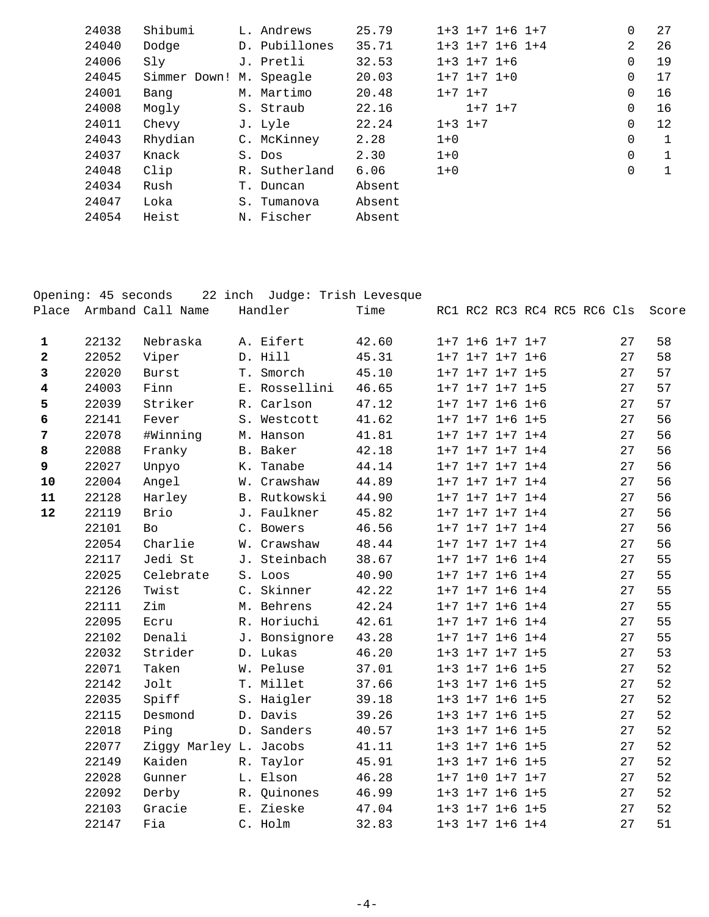| 24038 | Shibumi                 |    | L. Andrews    | 25.79  |         |                   | $1+3$ $1+7$ $1+6$ $1+7$ | 0        | 27 |
|-------|-------------------------|----|---------------|--------|---------|-------------------|-------------------------|----------|----|
| 24040 | Dodge                   |    | D. Pubillones | 35.71  |         |                   | $1+3$ $1+7$ $1+6$ $1+4$ | 2        | 26 |
| 24006 | Sly                     |    | J. Pretli     | 32.53  |         | $1+3$ $1+7$ $1+6$ |                         | 0        | 19 |
| 24045 | Simmer Down! M. Speagle |    |               | 20.03  |         | $1+7$ $1+7$ $1+0$ |                         | 0        | 17 |
| 24001 | Bang                    |    | M. Martimo    | 20.48  |         | $1+7$ $1+7$       |                         | 0        | 16 |
| 24008 | Mogly                   |    | S. Straub     | 22.16  |         | $1+7$ $1+7$       |                         | $\Omega$ | 16 |
| 24011 | Chevy                   |    | J. Lyle       | 22.24  |         | $1+3$ $1+7$       |                         | 0        | 12 |
| 24043 | Rhydian                 |    | C. McKinney   | 2.28   | $1 + 0$ |                   |                         | 0        | 1  |
| 24037 | Knack                   |    | S. Dos        | 2.30   | $1 + 0$ |                   |                         | 0        | 1  |
| 24048 | Clip                    |    | R. Sutherland | 6.06   | $1 + 0$ |                   |                         | 0        | 1  |
| 24034 | Rush                    |    | T. Duncan     | Absent |         |                   |                         |          |    |
| 24047 | Loka                    | S. | Tumanova      | Absent |         |                   |                         |          |    |
| 24054 | Heist                   |    | N. Fischer    | Absent |         |                   |                         |          |    |
|       |                         |    |               |        |         |                   |                         |          |    |

|                         | Opening: 45 seconds |                         | 22 inch Judge: Trish Levesque |       |                         |  |                             |    |       |
|-------------------------|---------------------|-------------------------|-------------------------------|-------|-------------------------|--|-----------------------------|----|-------|
|                         |                     | Place Armband Call Name | Handler                       | Time  |                         |  | RC1 RC2 RC3 RC4 RC5 RC6 Cls |    | Score |
|                         |                     |                         |                               |       |                         |  |                             |    |       |
| $\mathbf{1}$            | 22132               | Nebraska                | A. Eifert                     | 42.60 | $1+7$ $1+6$ $1+7$ $1+7$ |  |                             | 27 | 58    |
| $\overline{\mathbf{2}}$ | 22052               | Viper                   | D. Hill                       | 45.31 | $1+7$ $1+7$ $1+7$ $1+6$ |  |                             | 27 | 58    |
| 3                       | 22020               | Burst                   | T. Smorch                     | 45.10 | $1+7$ $1+7$ $1+7$ $1+5$ |  |                             | 27 | 57    |
| $\overline{\mathbf{4}}$ | 24003               | Finn                    | E. Rossellini                 | 46.65 | $1+7$ $1+7$ $1+7$ $1+5$ |  |                             | 27 | 57    |
| 5                       | 22039               | Striker                 | R. Carlson                    | 47.12 | $1+7$ $1+7$ $1+6$ $1+6$ |  |                             | 27 | 57    |
| 6                       | 22141               | Fever                   | S. Westcott                   | 41.62 | $1+7$ $1+7$ $1+6$ $1+5$ |  |                             | 27 | 56    |
| $\overline{7}$          | 22078               | #Winning                | M. Hanson                     | 41.81 | $1+7$ $1+7$ $1+7$ $1+4$ |  |                             | 27 | 56    |
| 8                       | 22088               | Franky                  | B. Baker                      | 42.18 | $1+7$ $1+7$ $1+7$ $1+4$ |  |                             | 27 | 56    |
| 9                       | 22027               | Unpyo                   | K. Tanabe                     | 44.14 | $1+7$ $1+7$ $1+7$ $1+4$ |  |                             | 27 | 56    |
| 10                      | 22004               | Angel                   | W. Crawshaw                   | 44.89 | $1+7$ $1+7$ $1+7$ $1+4$ |  |                             | 27 | 56    |
| ${\bf 11}$              | 22128               | Harley                  | B. Rutkowski                  | 44.90 | $1+7$ $1+7$ $1+7$ $1+4$ |  |                             | 27 | 56    |
| 12                      | 22119               | Brio                    | J. Faulkner                   | 45.82 | $1+7$ $1+7$ $1+7$ $1+4$ |  |                             | 27 | 56    |
|                         | 22101               | Bo                      | C. Bowers                     | 46.56 | $1+7$ $1+7$ $1+7$ $1+4$ |  |                             | 27 | 56    |
|                         | 22054               | Charlie                 | W. Crawshaw                   | 48.44 | $1+7$ $1+7$ $1+7$ $1+4$ |  |                             | 27 | 56    |
|                         | 22117               | Jedi St                 | J. Steinbach                  | 38.67 | $1+7$ $1+7$ $1+6$ $1+4$ |  |                             | 27 | 55    |
|                         | 22025               | Celebrate               | S. Loos                       | 40.90 | $1+7$ $1+7$ $1+6$ $1+4$ |  |                             | 27 | 55    |
|                         | 22126               | Twist                   | C. Skinner                    | 42.22 | $1+7$ $1+7$ $1+6$ $1+4$ |  |                             | 27 | 55    |
|                         | 22111               | Zim                     | M. Behrens                    | 42.24 | $1+7$ $1+7$ $1+6$ $1+4$ |  |                             | 27 | 55    |
|                         | 22095               | Ecru                    | R. Horiuchi                   | 42.61 | $1+7$ $1+7$ $1+6$ $1+4$ |  |                             | 27 | 55    |
|                         | 22102               | Denali                  | J. Bonsignore                 | 43.28 | $1+7$ $1+7$ $1+6$ $1+4$ |  |                             | 27 | 55    |
|                         | 22032               | Strider                 | D. Lukas                      | 46.20 | $1+3$ $1+7$ $1+7$ $1+5$ |  |                             | 27 | 53    |
|                         | 22071               | Taken                   | W. Peluse                     | 37.01 | $1+3$ $1+7$ $1+6$ $1+5$ |  |                             | 27 | 52    |
|                         | 22142               | Jolt                    | T. Millet                     | 37.66 | $1+3$ $1+7$ $1+6$ $1+5$ |  |                             | 27 | 52    |
|                         | 22035               | Spiff                   | S. Haigler                    | 39.18 | $1+3$ $1+7$ $1+6$ $1+5$ |  |                             | 27 | 52    |
|                         | 22115               | Desmond                 | D. Davis                      | 39.26 | $1+3$ $1+7$ $1+6$ $1+5$ |  |                             | 27 | 52    |
|                         | 22018               | Ping                    | D. Sanders                    | 40.57 | $1+3$ $1+7$ $1+6$ $1+5$ |  |                             | 27 | 52    |
|                         | 22077               | Ziggy Marley L. Jacobs  |                               | 41.11 | $1+3$ $1+7$ $1+6$ $1+5$ |  |                             | 27 | 52    |
|                         | 22149               | Kaiden                  | R. Taylor                     | 45.91 | $1+3$ $1+7$ $1+6$ $1+5$ |  |                             | 27 | 52    |
|                         | 22028               | Gunner                  | L. Elson                      | 46.28 | $1+7$ $1+0$ $1+7$ $1+7$ |  |                             | 27 | 52    |
|                         | 22092               | Derby                   | R. Quinones                   | 46.99 | $1+3$ $1+7$ $1+6$ $1+5$ |  |                             | 27 | 52    |
|                         | 22103               | Gracie                  | E. Zieske                     | 47.04 | $1+3$ $1+7$ $1+6$ $1+5$ |  |                             | 27 | 52    |
|                         | 22147               | Fia                     | C. Holm                       | 32.83 | $1+3$ $1+7$ $1+6$ $1+4$ |  |                             | 27 | 51    |
|                         |                     |                         |                               |       |                         |  |                             |    |       |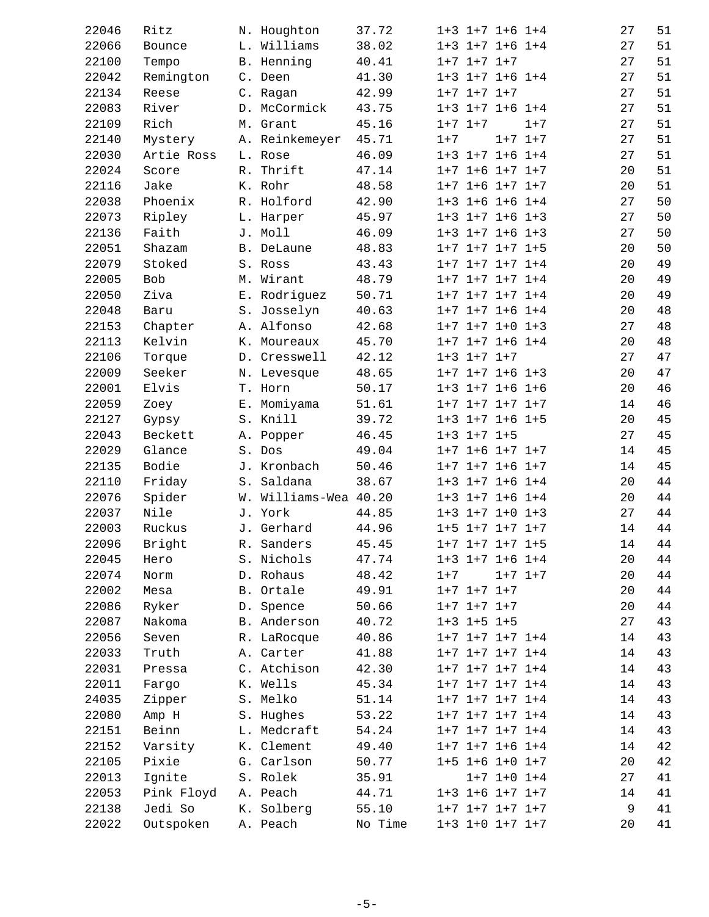| 22046        | Ritz       |       | N. Houghton        | 37.72   |             | $1+3$ $1+7$ $1+6$ $1+4$ |             |         | 27 | 51     |
|--------------|------------|-------|--------------------|---------|-------------|-------------------------|-------------|---------|----|--------|
| 22066        | Bounce     |       | L. Williams        | 38.02   |             | $1+3$ $1+7$ $1+6$ $1+4$ |             |         | 27 | 51     |
| 22100        | Tempo      |       | B. Henning         | 40.41   |             | $1+7$ $1+7$ $1+7$       |             |         | 27 | 51     |
| 22042        | Remington  |       | C. Deen            | 41.30   |             | $1+3$ $1+7$ $1+6$ $1+4$ |             |         | 27 | 51     |
| 22134        | Reese      |       | C. Ragan           | 42.99   |             | $1+7$ $1+7$ $1+7$       |             |         | 27 | 51     |
| 22083        | River      |       | D. McCormick       | 43.75   |             | $1+3$ $1+7$ $1+6$ $1+4$ |             |         | 27 | 51     |
| 22109        | Rich       |       | M. Grant           | 45.16   | $1+7$ $1+7$ |                         |             | $1 + 7$ | 27 | 51     |
| 22140        | Mystery    |       | A. Reinkemeyer     | 45.71   | $1 + 7$     |                         | $1+7$ $1+7$ |         | 27 | 51     |
| 22030        | Artie Ross |       | L. Rose            | 46.09   |             | $1+3$ $1+7$ $1+6$ $1+4$ |             |         | 27 | 51     |
| 22024        | Score      | R.    | Thrift             | 47.14   |             | $1+7$ $1+6$ $1+7$ $1+7$ |             |         | 20 | 51     |
| 22116        | Jake       |       | K. Rohr            | 48.58   |             | $1+7$ $1+6$ $1+7$ $1+7$ |             |         | 20 | 51     |
| 22038        | Phoenix    |       | R. Holford         | 42.90   |             | $1+3$ $1+6$ $1+6$ $1+4$ |             |         | 27 | 50     |
| 22073        | Ripley     |       | L. Harper          | 45.97   |             | $1+3$ $1+7$ $1+6$ $1+3$ |             |         | 27 | 50     |
| 22136        | Faith      |       | J. Moll            | 46.09   |             | $1+3$ $1+7$ $1+6$ $1+3$ |             |         | 27 | 50     |
| 22051        | Shazam     |       | B. DeLaune         | 48.83   |             | $1+7$ $1+7$ $1+7$ $1+5$ |             |         | 20 | 50     |
| 22079        | Stoked     |       | S. Ross            | 43.43   |             | $1+7$ $1+7$ $1+7$ $1+4$ |             |         | 20 | 49     |
| 22005        | <b>Bob</b> |       | M. Wirant          | 48.79   |             | $1+7$ $1+7$ $1+7$ $1+4$ |             |         | 20 | 49     |
| 22050        | Ziva       |       | E. Rodriquez       | 50.71   |             | $1+7$ $1+7$ $1+7$ $1+4$ |             |         | 20 | 49     |
| 22048        | Baru       |       | S. Josselyn        | 40.63   |             | $1+7$ $1+7$ $1+6$ $1+4$ |             |         | 20 | $4\,8$ |
| 22153        | Chapter    |       | A. Alfonso         | 42.68   |             | $1+7$ $1+7$ $1+0$ $1+3$ |             |         | 27 | 48     |
| 22113        | Kelvin     |       | K. Moureaux        | 45.70   |             | $1+7$ $1+7$ $1+6$ $1+4$ |             |         | 20 | $4\,8$ |
| 22106        | Torque     |       | D. Cresswell       | 42.12   |             | $1+3$ $1+7$ $1+7$       |             |         | 27 | 47     |
| 22009        | Seeker     |       | N. Levesque        | 48.65   |             | $1+7$ $1+7$ $1+6$ $1+3$ |             |         | 20 | 47     |
| 22001        | Elvis      |       | T. Horn            | 50.17   |             | $1+3$ $1+7$ $1+6$ $1+6$ |             |         | 20 | 46     |
| 22059        | Zoey       |       | E. Momiyama        | 51.61   |             | $1+7$ $1+7$ $1+7$ $1+7$ |             |         | 14 | 46     |
| 22127        | Gypsy      |       | S. Knill           | 39.72   |             | $1+3$ $1+7$ $1+6$ $1+5$ |             |         | 20 | 45     |
| 22043        | Beckett    |       | A. Popper          | 46.45   |             | $1+3$ $1+7$ $1+5$       |             |         | 27 | 45     |
| 22029        | Glance     | $S$ . | Dos                | 49.04   |             | $1+7$ $1+6$ $1+7$ $1+7$ |             |         | 14 | 45     |
| 22135        | Bodie      |       | J. Kronbach        | 50.46   |             | $1+7$ $1+7$ $1+6$ $1+7$ |             |         | 14 | 45     |
| 22110        | Friday     |       | S. Saldana         | 38.67   |             | $1+3$ $1+7$ $1+6$ $1+4$ |             |         | 20 | 44     |
| 22076        | Spider     | W.    | Williams-Wea 40.20 |         |             | $1+3$ $1+7$ $1+6$ $1+4$ |             |         | 20 | 44     |
| 22037        | Nile       |       | J. York            | 44.85   |             | $1+3$ $1+7$ $1+0$ $1+3$ |             |         | 27 | 44     |
| 22003        | Ruckus     |       | J. Gerhard         | 44.96   |             | $1+5$ $1+7$ $1+7$ $1+7$ |             |         | 14 | 44     |
| 22096 Bright |            |       | R. Sanders         | 45.45   |             | $1+7$ $1+7$ $1+7$ $1+5$ |             |         | 14 | 44     |
| 22045        | Hero       |       | S. Nichols         | 47.74   |             | $1+3$ $1+7$ $1+6$ $1+4$ |             |         | 20 | 44     |
| 22074        | Norm       |       | D. Rohaus          | 48.42   | $1 + 7$     |                         | $1+7$ $1+7$ |         | 20 | $4\,4$ |
| 22002        | Mesa       |       | B. Ortale          | 49.91   |             | $1+7$ $1+7$ $1+7$       |             |         | 20 | $4\,4$ |
| 22086        | Ryker      |       | D. Spence          | 50.66   |             | $1+7$ $1+7$ $1+7$       |             |         | 20 | 44     |
| 22087        | Nakoma     |       | B. Anderson        | 40.72   |             | $1+3$ $1+5$ $1+5$       |             |         | 27 | 43     |
| 22056        | Seven      |       |                    | 40.86   |             | $1+7$ $1+7$ $1+7$ $1+4$ |             |         | 14 | 43     |
|              |            |       | R. LaRocque        |         |             | $1+7$ $1+7$ $1+7$ $1+4$ |             |         | 14 | 43     |
| 22033        | Truth      |       | A. Carter          | 41.88   |             |                         |             |         |    |        |
| 22031        | Pressa     |       | C. Atchison        | 42.30   |             | $1+7$ $1+7$ $1+7$ $1+4$ |             |         | 14 | 43     |
| 22011        | Fargo      |       | K. Wells           | 45.34   |             | $1+7$ $1+7$ $1+7$ $1+4$ |             |         | 14 | 43     |
| 24035        | Zipper     |       | S. Melko           | 51.14   |             | $1+7$ $1+7$ $1+7$ $1+4$ |             |         | 14 | 43     |
| 22080        | Amp H      |       | S. Hughes          | 53.22   |             | $1+7$ $1+7$ $1+7$ $1+4$ |             |         | 14 | 43     |
| 22151        | Beinn      |       | L. Medcraft        | 54.24   |             | $1+7$ $1+7$ $1+7$ $1+4$ |             |         | 14 | 43     |
| 22152        | Varsity    |       | K. Clement         | 49.40   |             | $1+7$ $1+7$ $1+6$ $1+4$ |             |         | 14 | 42     |
| 22105        | Pixie      |       | G. Carlson         | 50.77   |             | $1+5$ $1+6$ $1+0$ $1+7$ |             |         | 20 | 42     |
| 22013        | Ignite     |       | S. Rolek           | 35.91   |             | $1+7$ $1+0$ $1+4$       |             |         | 27 | 41     |
| 22053        | Pink Floyd |       | A. Peach           | 44.71   |             | $1+3$ $1+6$ $1+7$ $1+7$ |             |         | 14 | 41     |
| 22138        | Jedi So    |       | K. Solberg         | 55.10   |             | $1+7$ $1+7$ $1+7$ $1+7$ |             |         | 9  | 41     |
| 22022        | Outspoken  |       | A. Peach           | No Time |             | $1+3$ $1+0$ $1+7$ $1+7$ |             |         | 20 | 41     |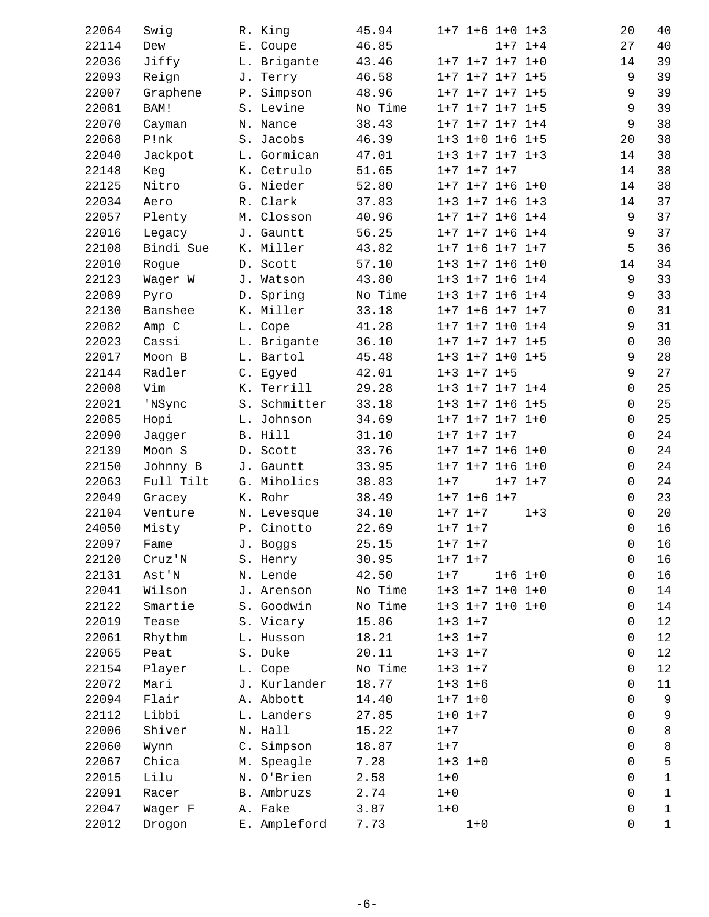| 22064 | Swig      |    | R. King      | 45.94   |         |             | $1+7$ $1+6$ $1+0$ $1+3$ |             | 20          | 40                 |
|-------|-----------|----|--------------|---------|---------|-------------|-------------------------|-------------|-------------|--------------------|
| 22114 | Dew       |    | E. Coupe     | 46.85   |         |             |                         | $1+7$ $1+4$ | 27          | 40                 |
| 22036 | Jiffy     |    | L. Brigante  | 43.46   |         |             | $1+7$ $1+7$ $1+7$ $1+0$ |             | 14          | 39                 |
| 22093 | Reign     |    | J. Terry     | 46.58   |         |             | $1+7$ $1+7$ $1+7$ $1+5$ |             | 9           | 39                 |
| 22007 | Graphene  |    | P. Simpson   | 48.96   |         |             | $1+7$ $1+7$ $1+7$ $1+5$ |             |             | 39<br>9            |
| 22081 | BAM!      |    | S. Levine    | No Time |         |             | $1+7$ $1+7$ $1+7$ $1+5$ |             |             | 39<br>9            |
| 22070 | Cayman    |    | N. Nance     | 38.43   |         |             | $1+7$ $1+7$ $1+7$ $1+4$ |             | 9           | 38                 |
| 22068 | P!nk      |    | S. Jacobs    | 46.39   |         |             | $1+3$ $1+0$ $1+6$ $1+5$ |             | 20          | 38                 |
| 22040 | Jackpot   |    | L. Gormican  | 47.01   |         |             | $1+3$ $1+7$ $1+7$ $1+3$ |             | 14          | 38                 |
| 22148 | Keg       |    | K. Cetrulo   | 51.65   |         |             | $1+7$ $1+7$ $1+7$       |             | 14          | 38                 |
| 22125 | Nitro     |    | G. Nieder    | 52.80   |         |             | $1+7$ $1+7$ $1+6$ $1+0$ |             | 14          | 38                 |
| 22034 | Aero      |    | R. Clark     | 37.83   |         |             | $1+3$ $1+7$ $1+6$ $1+3$ |             | 14          | 37                 |
| 22057 | Plenty    |    | M. Closson   | 40.96   |         |             | $1+7$ $1+7$ $1+6$ $1+4$ |             |             | 37<br>9            |
| 22016 | Legacy    |    | J. Gauntt    | 56.25   |         |             | $1+7$ $1+7$ $1+6$ $1+4$ |             |             | 37<br>9            |
| 22108 | Bindi Sue |    | K. Miller    | 43.82   |         |             | $1+7$ $1+6$ $1+7$ $1+7$ |             | 5           | 36                 |
| 22010 | Rogue     |    | D. Scott     | 57.10   |         |             | $1+3$ $1+7$ $1+6$ $1+0$ |             | 14          | 34                 |
| 22123 | Wager W   |    | J. Watson    | 43.80   |         |             | $1+3$ $1+7$ $1+6$ $1+4$ |             |             | 33<br>9            |
| 22089 | Pyro      |    | D. Spring    | No Time |         |             | $1+3$ $1+7$ $1+6$ $1+4$ |             | 9           | 33                 |
| 22130 | Banshee   |    | K. Miller    | 33.18   |         |             | $1+7$ $1+6$ $1+7$ $1+7$ |             |             | 31<br>$\Omega$     |
| 22082 | Amp C     |    | L. Cope      | 41.28   |         |             | $1+7$ $1+7$ $1+0$ $1+4$ |             |             | 31<br>9            |
| 22023 | Cassi     |    | L. Brigante  | 36.10   |         |             | $1+7$ $1+7$ $1+7$ $1+5$ |             | 0           | 30                 |
| 22017 | Moon B    |    | L. Bartol    | 45.48   |         |             | $1+3$ $1+7$ $1+0$ $1+5$ |             |             | 28<br>9            |
| 22144 | Radler    |    | C. Egyed     | 42.01   |         |             | $1+3$ $1+7$ $1+5$       |             |             | 27<br>9            |
| 22008 | Vim       |    | K. Terrill   | 29.28   |         |             | $1+3$ $1+7$ $1+7$ $1+4$ |             |             | 25<br>0            |
| 22021 | 'NSync    |    | S. Schmitter | 33.18   |         |             | $1+3$ $1+7$ $1+6$ $1+5$ |             |             | 25<br>0            |
| 22085 | Hopi      |    | L. Johnson   | 34.69   |         |             | $1+7$ $1+7$ $1+7$ $1+0$ |             | $\mathbf 0$ | 25                 |
| 22090 | Jagger    |    | B. Hill      | 31.10   |         |             | $1+7$ $1+7$ $1+7$       |             |             | 24<br>0            |
| 22139 | Moon S    |    | D. Scott     | 33.76   |         |             | $1+7$ $1+7$ $1+6$ $1+0$ |             |             | 24<br>0            |
| 22150 | Johnny B  |    | J. Gauntt    | 33.95   |         |             | $1+7$ $1+7$ $1+6$ $1+0$ |             |             | 24<br>0            |
| 22063 | Full Tilt |    | G. Miholics  | 38.83   | $1 + 7$ |             |                         | $1+7$ $1+7$ |             | 24<br>0            |
| 22049 | Gracey    |    | K. Rohr      | 38.49   |         |             | $1+7$ $1+6$ $1+7$       |             |             | 23<br>0            |
| 22104 | Venture   |    | N. Levesque  | 34.10   |         | $1+7$ $1+7$ |                         | $1 + 3$     | $\mathbf 0$ | 20                 |
| 24050 | Misty     |    | P. Cinotto   | 22.69   |         | $1+7$ $1+7$ |                         |             | 0           | 16                 |
| 22097 | Fame      |    | J. Boggs     | 25.15   |         | $1+7$ $1+7$ |                         |             |             | 16<br>$\mathsf{O}$ |
| 22120 | Cruz'N    |    | S. Henry     | 30.95   |         | $1+7$ $1+7$ |                         |             | 0           | 16                 |
| 22131 | Ast'N     |    | N. Lende     | 42.50   | $1 + 7$ |             |                         | $1+6$ $1+0$ | 0           | 16                 |
| 22041 | Wilson    |    | J. Arenson   | No Time |         |             | $1+3$ $1+7$ $1+0$ $1+0$ |             | 0           | 14                 |
| 22122 | Smartie   |    | S. Goodwin   | No Time |         |             | $1+3$ $1+7$ $1+0$ $1+0$ |             | 0           | 14                 |
| 22019 | Tease     |    | S. Vicary    | 15.86   |         | $1+3$ $1+7$ |                         |             | 0           | $1\,2$             |
| 22061 | Rhythm    |    | L. Husson    | 18.21   |         | $1+3$ $1+7$ |                         |             | 0           | 12                 |
| 22065 | Peat      | S. | Duke         | 20.11   |         | $1+3$ $1+7$ |                         |             | 0           | 12                 |
| 22154 | Player    |    | L. Cope      | No Time |         | $1+3$ $1+7$ |                         |             | 0           | 12                 |
| 22072 | Mari      |    | J. Kurlander | 18.77   |         | $1+3$ $1+6$ |                         |             | 0           | 11                 |
| 22094 | Flair     |    | A. Abbott    | 14.40   |         | $1+7$ $1+0$ |                         |             | 0           | 9                  |
| 22112 | Libbi     | L. | Landers      | 27.85   |         | $1+0$ $1+7$ |                         |             | 0           | 9                  |
| 22006 | Shiver    |    | N. Hall      | 15.22   | $1 + 7$ |             |                         |             | 0           | $\,8\,$            |
| 22060 | Wynn      |    | C. Simpson   | 18.87   | $1 + 7$ |             |                         |             |             | $\,8\,$<br>0       |
| 22067 | Chica     | М. | Speagle      | 7.28    |         | $1+3$ $1+0$ |                         |             | $\Omega$    | 5                  |
| 22015 | Lilu      | Ν. | O'Brien      | 2.58    | $1 + 0$ |             |                         |             | 0           | $\mathbf 1$        |
| 22091 | Racer     |    | B. Ambruzs   | 2.74    | $1 + 0$ |             |                         |             | 0           | $1\,$              |
| 22047 | Wager F   |    | A. Fake      | 3.87    | $1 + 0$ |             |                         |             | 0           | $\mathbf{1}$       |
| 22012 | Drogon    | Ε. | Ampleford    | 7.73    |         | $1 + 0$     |                         |             | 0           | $1\,$              |
|       |           |    |              |         |         |             |                         |             |             |                    |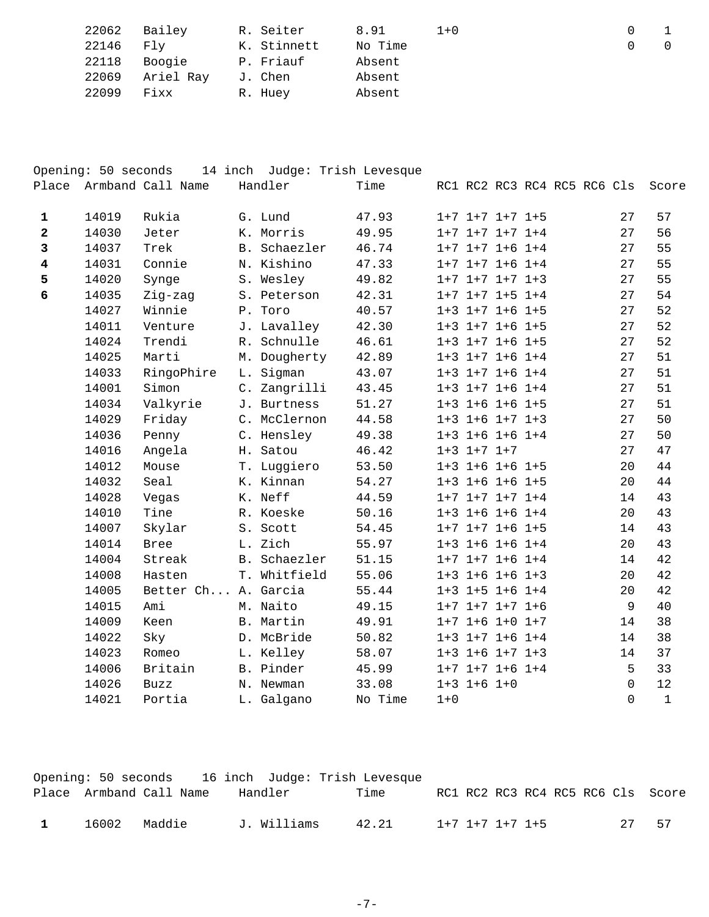| 22062 | Bailey    | R. Seiter   | 8.91    | $1 + 0$ | $\Omega$ |  |
|-------|-----------|-------------|---------|---------|----------|--|
| 22146 | Flv       | K. Stinnett | No Time |         |          |  |
| 22118 | Boogie    | P. Friauf   | Absent  |         |          |  |
| 22069 | Ariel Ray | J. Chen     | Absent  |         |          |  |
| 22099 | Fixx      | R. Huey     | Absent  |         |          |  |

| Place                   | Opening: 50 seconds | Armband Call Name   |    | 14 inch Judge: Trish Levesque<br>Handler | Time    |         |                         |  | RC1 RC2 RC3 RC4 RC5 RC6 Cls |                     | Score        |
|-------------------------|---------------------|---------------------|----|------------------------------------------|---------|---------|-------------------------|--|-----------------------------|---------------------|--------------|
| $\mathbf{1}$            | 14019               | Rukia               |    | G. Lund                                  | 47.93   |         | $1+7$ $1+7$ $1+7$ $1+5$ |  |                             | 27                  | 57           |
| $\overline{\mathbf{2}}$ | 14030               | Jeter               |    | K. Morris                                | 49.95   |         | $1+7$ $1+7$ $1+7$ $1+4$ |  |                             | 27                  | 56           |
| 3                       | 14037               | Trek                |    | B. Schaezler                             | 46.74   |         | $1+7$ $1+7$ $1+6$ $1+4$ |  |                             | 27                  | 55           |
| $\overline{\mathbf{4}}$ | 14031               | Connie              |    | N. Kishino                               | 47.33   |         | $1+7$ $1+7$ $1+6$ $1+4$ |  |                             | 27                  | 55           |
| 5                       | 14020               | Synge               |    | S. Wesley                                | 49.82   |         | $1+7$ $1+7$ $1+7$ $1+3$ |  |                             | 27                  | 55           |
| 6                       | 14035               | Zig-zag             |    | S. Peterson                              | 42.31   |         | $1+7$ $1+7$ $1+5$ $1+4$ |  |                             | 27                  | 54           |
|                         | 14027               | Winnie              |    | P. Toro                                  | 40.57   |         | $1+3$ $1+7$ $1+6$ $1+5$ |  |                             | 27                  | 52           |
|                         | 14011               | Venture             |    | J. Lavalley                              | 42.30   |         | $1+3$ $1+7$ $1+6$ $1+5$ |  |                             | 27                  | 52           |
|                         | 14024               | Trendi              |    | R. Schnulle                              | 46.61   |         | $1+3$ $1+7$ $1+6$ $1+5$ |  |                             | 27                  | 52           |
|                         | 14025               | Marti               |    | M. Dougherty                             | 42.89   |         | $1+3$ $1+7$ $1+6$ $1+4$ |  |                             | 27                  | 51           |
|                         | 14033               | RingoPhire          | L. | Sigman                                   | 43.07   |         | $1+3$ $1+7$ $1+6$ $1+4$ |  |                             | 27                  | 51           |
|                         | 14001               | Simon               |    | C. Zangrilli                             | 43.45   |         | $1+3$ $1+7$ $1+6$ $1+4$ |  |                             | 27                  | 51           |
|                         | 14034               | Valkyrie            |    | J. Burtness                              | 51.27   |         | $1+3$ $1+6$ $1+6$ $1+5$ |  |                             | 27                  | 51           |
|                         | 14029               | Friday              |    | C. McClernon                             | 44.58   |         | $1+3$ $1+6$ $1+7$ $1+3$ |  |                             | 27                  | 50           |
|                         | 14036               | Penny               |    | C. Hensley                               | 49.38   |         | $1+3$ $1+6$ $1+6$ $1+4$ |  |                             | 27                  | 50           |
|                         | 14016               | Angela              |    | H. Satou                                 | 46.42   |         | $1+3$ $1+7$ $1+7$       |  |                             | 27                  | 47           |
|                         | 14012               | Mouse               |    | T. Luggiero                              | 53.50   |         | $1+3$ $1+6$ $1+6$ $1+5$ |  |                             | 20                  | 44           |
|                         | 14032               | Seal                |    | K. Kinnan                                | 54.27   |         | $1+3$ $1+6$ $1+6$ $1+5$ |  |                             | 20                  | 44           |
|                         | 14028               | Vegas               |    | K. Neff                                  | 44.59   |         | $1+7$ $1+7$ $1+7$ $1+4$ |  |                             | 14                  | 43           |
|                         | 14010               | Tine                |    | R. Koeske                                | 50.16   |         | $1+3$ $1+6$ $1+6$ $1+4$ |  |                             | 20                  | 43           |
|                         | 14007               | Skylar              |    | S. Scott                                 | 54.45   |         | $1+7$ $1+7$ $1+6$ $1+5$ |  |                             | 14                  | 43           |
|                         | 14014               | <b>Bree</b>         |    | L. Zich                                  | 55.97   |         | $1+3$ $1+6$ $1+6$ $1+4$ |  |                             | 20                  | 43           |
|                         | 14004               | Streak              |    | B. Schaezler                             | 51.15   |         | $1+7$ $1+7$ $1+6$ $1+4$ |  |                             | 14                  | 42           |
|                         | 14008               | Hasten              |    | T. Whitfield                             | 55.06   |         | $1+3$ $1+6$ $1+6$ $1+3$ |  |                             | 20                  | 42           |
|                         | 14005               | Better Ch A. Garcia |    |                                          | 55.44   |         | $1+3$ $1+5$ $1+6$ $1+4$ |  |                             | 20                  | 42           |
|                         | 14015               | Ami                 |    | M. Naito                                 | 49.15   |         | $1+7$ $1+7$ $1+7$ $1+6$ |  |                             | 9                   | 40           |
|                         | 14009               | Keen                |    | B. Martin                                | 49.91   |         | $1+7$ $1+6$ $1+0$ $1+7$ |  |                             | 14                  | 38           |
|                         | 14022               | Sky                 |    | D. McBride                               | 50.82   |         | $1+3$ $1+7$ $1+6$ $1+4$ |  |                             | 14                  | 38           |
|                         | 14023               | Romeo               |    | L. Kelley                                | 58.07   |         | $1+3$ $1+6$ $1+7$ $1+3$ |  |                             | 14                  | 37           |
|                         | 14006               | Britain             |    | B. Pinder                                | 45.99   |         | $1+7$ $1+7$ $1+6$ $1+4$ |  |                             | 5                   | 33           |
|                         | 14026               | <b>Buzz</b>         |    | N. Newman                                | 33.08   |         | $1+3$ $1+6$ $1+0$       |  |                             | $\mathsf{O}\xspace$ | 12           |
|                         | 14021               | Portia              |    | L. Galgano                               | No Time | $1 + 0$ |                         |  |                             | $\Omega$            | $\mathbf{1}$ |

|              |       |                         |  |             | Opening: 50 seconds 16 inch Judge: Trish Levesque |                 |  |  |    |                                   |
|--------------|-------|-------------------------|--|-------------|---------------------------------------------------|-----------------|--|--|----|-----------------------------------|
|              |       | Place Armband Call Name |  | Handler     | Time                                              |                 |  |  |    | RC1 RC2 RC3 RC4 RC5 RC6 Cls Score |
| $\mathbf{1}$ | 16002 | Maddie                  |  | J. Williams | 42.21                                             | 1+7 1+7 1+7 1+5 |  |  | フワ | -57                               |